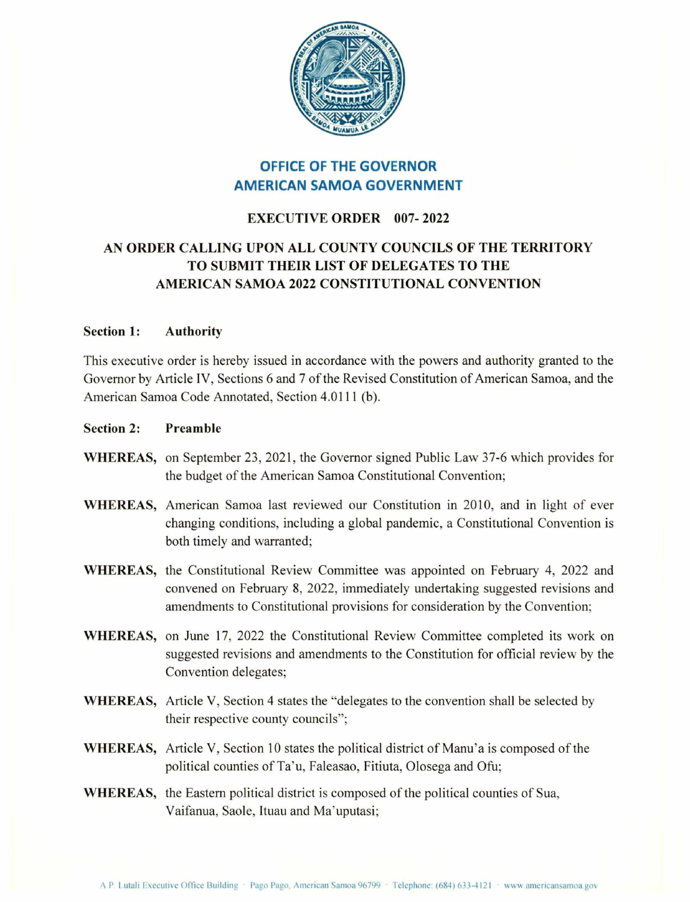

# OFFICE OF THE GOVERNOR AMERICAN SAMOA GOVERNMENT

## EXECUTIVE ORDER 007-2022

## AN ORDER CALLING UPON ALL COUNTY COUNCILS OF THE TERRITORY TO SUBMIT THEIR LIST OF DELEGATES TO THE AMERICAN SAMOA 2022 CONSTITUTIONAL CONVENTION

### Section 1: Authority

This executive order is hereby issued in accordance with the powers and authority granted to the Governor by Article IV, Sections 6 and 7 of the Revised Constitution of American Samoa, and the American Samoa Code Annotated, Section 4.0111 (b).

- Section 2: Preamble
- WHEREAS, on September 23, 2021, the Governor signed Public Law 37-6 which provides for the budget of the American Samoa Constitutional Convention;
- WHEREAS, American Samoa last reviewed our Constitution in 2010, and in light of ever changing conditions, including a global pandemic, a Constitutional Convention is both timely and warranted;
- WHEREAS, the Constitutional Review Committee was appointed on February 4, 2022 and convened on February 8, 2022, immediately undertaking suggested revisions and amendments to Constitutional provisions for consideration by the Convention;
- WHEREAS, on June 17, 2022 the Constitutional Review Committee completed its work on suggested revisions and amendments to the Constitution for official review by the Convention delegates;
- WHEREAS, Article V, Section 4 states the "delegates to the convention shall be selected by their respective county councils";
- WHEREAS, Article V, Section 10 states the political district of Manu'a is composed of the political counties of Ta'u, Faleasao, Fitiuta, Olosega and Ofu:
- **WHEREAS, the Eastern political district is composed of the political counties of Sua,<br>Vaifanua, Saole, Ituau and Ma'uputasi;**<br>A.P. Lutali Executive Office Building Pago Pago, American Samoa 96799 · Telephone: (684) 633-4 Vaifanua, Saole, Ituau and Ma'uputasi;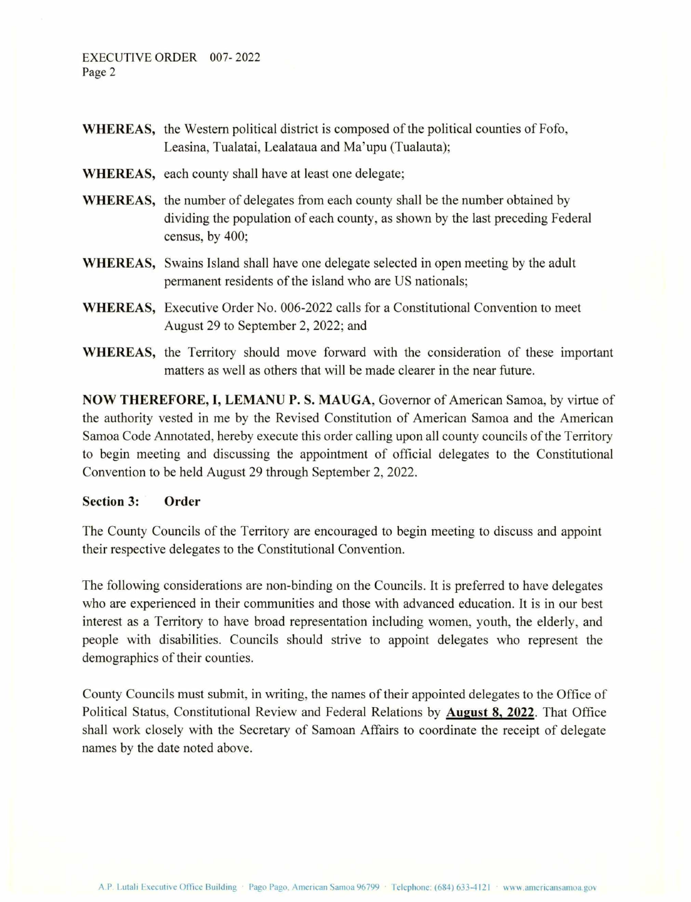- WHEREAS, the Western political district is composed of the political counties of Fofo, Leasina, Tualatai, Lealataua and Ma'upu (Tualauta);
- WHEREAS, each county shall have at least one delegate;
- WHEREAS, the number of delegates from each county shall be the number obtained by dividing the population of each county, as shown by the last preceding Federal census, by 400;
- WHEREAS, Swains Island shall have one delegate selected in open meeting by the adult permanent residents of the island who are US nationals;
- WHEREAS, Executive Order No. 006-2022 calls for a Constitutional Convention to meet August 29 to September 2, 2022; and
- WHEREAS, the Territory should move forward with the consideration of these important matters as well as others that will be made clearer in the near future.

NOW THEREFORE, I, LEMANU P. 8. MAUGA, Governor of American Samoa, by virtue of the authority vested in me by the Revised Constitution of American Samoa and the American Samoa Code Annotated, hereby execute this order calling upon all county councils of the Territory to begin meeting and discussing the appointment of official delegates to the Constitutional Convention to be held August 29 through September 2, 2022.

### Section 3: Order

The County Councils of the Territory are encouraged to begin meeting to discuss and appoint their respective delegates to the Constitutional Convention.

The following considerations are non-binding on the Councils. It is preferred to have delegates who are experienced in their communities and those with advanced education. It is in our best interest as a Territory to have broad representation including women, youth, the elderly, and people with disabilities. Councils should strive to appoint delegates who represent the demographics of their counties.

County Councils must submit, in writing, the names of their appointed delegates to the Office of Political Status, Constitutional Review and Federal Relations by August 8, 2022. That Office shall work closely with the Secretary of Samoan Affairs to coordinate the receipt of delegate names by the date noted above.